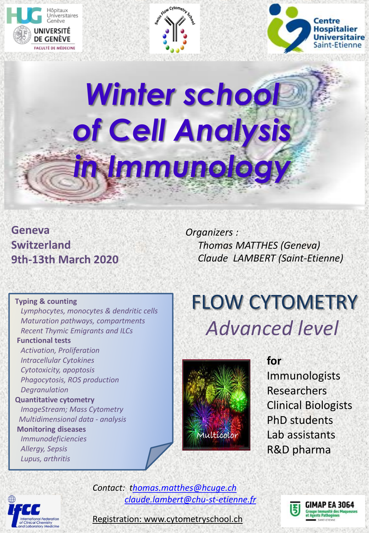





# *Winter school of Cell Analysis in Immunology*

### **Geneva Switzerland 9th-13th March 2020**

*Organizers : Thomas MATTHES (Geneva) Claude LAMBERT (Saint-Etienne)*

#### **Typing & counting**

 *Lymphocytes, monocytes & dendritic cells Maturation pathways, compartments Recent Thymic Emigrants and ILCs*

#### **Functional tests**

 *Activation, Proliferation Intracellular Cytokines Cytotoxicity, apoptosis Phagocytosis, ROS production Degranulation* **Quantitative cytometry** *ImageStream; Mass Cytometry Multidimensional data - analysis* **Monitoring diseases**  *Immunodeficiencies*

 *Allergy, Sepsis Lupus, arthritis*

## FLOW CYTOMETRY *Advanced level*



**for**  Immunologists Researchers Clinical Biologists PhD students Lab assistants R&D pharma



*Contact: [thomas.matthes@hcuge.ch](mailto:Thomas.Matthes@hcuge.ch) [claude.lambert@chu-st-etienne.fr](mailto:Claude.lambert@chu-st-etienne.fr)*



Registration: www.cytometryschool.ch